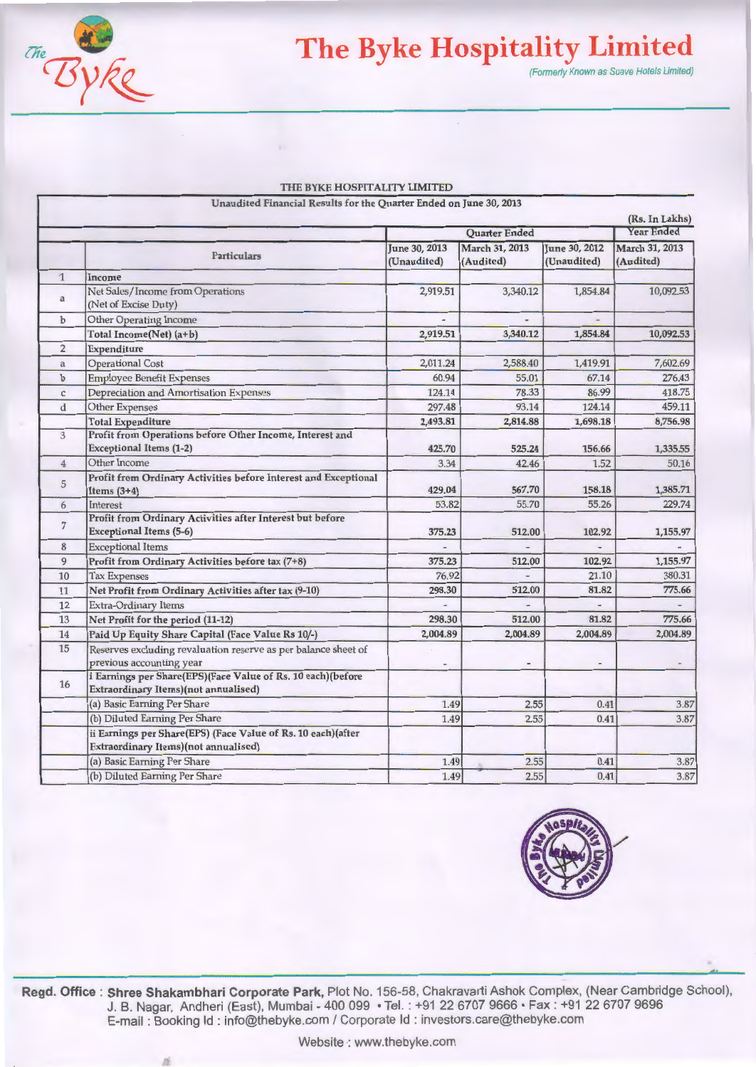

## **The Byke Hospitality Limited**

(Formerly Known as Suave Hotels Limited)

|                | THE BYKE HOSPITALITY LIMITED                                                                         |                              |                             |                              |                                     |
|----------------|------------------------------------------------------------------------------------------------------|------------------------------|-----------------------------|------------------------------|-------------------------------------|
|                | Unaudited Financial Results for the Quarter Ended on June 30, 2013                                   |                              |                             |                              |                                     |
|                |                                                                                                      |                              |                             |                              | (Rs. In Lakhs)<br><b>Year Ended</b> |
|                |                                                                                                      |                              | Quarter Ended               |                              |                                     |
|                | Particulars                                                                                          | June 30, 2013<br>(Unaudited) | March 31, 2013<br>(Audited) | June 30, 2012<br>(Unaudited) | March 31, 2013<br>(Audited)         |
| $\mathbf{1}$   | Income                                                                                               |                              |                             |                              |                                     |
| $\mathbf{a}$   | Net Sales/Income from Operations<br>(Net of Excise Duty)                                             | 2,919.51                     | 3,340.12                    | 1,854.84                     | 10,092.53                           |
| $\mathbf b$    | Other Operating Income                                                                               |                              |                             |                              |                                     |
|                | Total Income(Net) (a+b)                                                                              | 2,919.51                     | 3,340.12                    | 1,854.84                     | 10,092.53                           |
| $\overline{2}$ | Expenditure                                                                                          |                              |                             |                              |                                     |
| a              | <b>Operational Cost</b>                                                                              | 2,011.24                     | 2,588.40                    | 1,419.91                     | 7,602.69                            |
| $\mathbf b$    | <b>Employee Benefit Expenses</b>                                                                     | 60.94                        | 55.01                       | 67.14                        | 276.43                              |
| C              | Depreciation and Amortisation Expenses                                                               | 124.14                       | 78.33                       | 86.99                        | 418.75                              |
| d              | Other Expenses                                                                                       | 297.48                       | 93.14                       | 124.14                       | 459.11                              |
|                | <b>Total Expenditure</b>                                                                             | 2,493.81                     | 2,814.88                    | 1,698.18                     | 8,756.98                            |
| 3              | Profit from Operations before Other Income, Interest and<br><b>Exceptional Items (1-2)</b>           | 425.70                       | 525.24                      | 156.66                       | 1,335.55                            |
| $\overline{4}$ | Other Income                                                                                         | 3.34                         | 42.46                       | 1.52                         | 50.16                               |
| 5              | Profit from Ordinary Activities before Interest and Exceptional<br>Items $(3+4)$                     | 429.04                       | 567,70                      | 158.18                       | 1,385.71                            |
| 6              | Interest                                                                                             | 53.82                        | 55.70                       | 55.26                        | 229.74                              |
| $\overline{7}$ | Profit from Ordinary Activities after Interest but before<br><b>Exceptional Items (5-6)</b>          | 375.23                       | 512.00                      | 102.92                       | 1,155.97                            |
| 8              | <b>Exceptional Items</b>                                                                             |                              |                             |                              |                                     |
| 9              | Profit from Ordinary Activities before tax (7+8)                                                     | 375.23                       | 512.00                      | 102.92                       | 1,155.97                            |
| 10             | <b>Tax Expenses</b>                                                                                  | 76.92                        |                             | 21.10                        | 380.31                              |
| 11             | Net Profit from Ordinary Activities after tax (9-10)                                                 | 298.30                       | 512.00                      | 81.82                        | 775.66                              |
| 12             | <b>Extra-Ordinary Items</b>                                                                          |                              |                             |                              |                                     |
| 13             | Net Profit for the period (11-12)                                                                    | 298,30                       | 512.00                      | 81.82                        | 775.66                              |
| 14             | Paid Up Equity Share Capital (Face Value Rs 10/-)                                                    | 2,004.89                     | 2,004.89                    | 2,004.89                     | 2,004.89                            |
| 15             | Reserves excluding revaluation reserve as per balance sheet of<br>previous accounting year           | ٠                            | $\blacksquare$              | $\qquad \qquad$              |                                     |
| 16             | i Earnings per Share(EPS)(Face Value of Rs. 10 each)(before<br>Extraordinary Items)(not annualised)  |                              |                             |                              |                                     |
|                | (a) Basic Earning Per Share                                                                          | 1.49                         | 2.55                        | 0.41                         | 3.87                                |
|                | (b) Diluted Earning Per Share                                                                        | 1.49                         | 2.55                        | 0.41                         | 3.87                                |
|                | ii Earnings per Share(EPS) (Face Value of Rs. 10 each)(after<br>Extraordinary Items)(not annualised) |                              |                             |                              |                                     |



**Regd. Office : Shree Shakambhari Corporate Park,** Plot No. 156-58, Chakravarti Ashok Complex, (Near Cambridge School), J. B. Nagar, Andheri (East), Mumbai - 400 099 • Tel. : +91 22 6707 9666 • Fax : +91 22 6707 9696 E-mail : Booking ld : info@thebyke.com I Corporate ld : investors.care@thebyke.com

(a) Basic Earning Per Share 1.49 2.55 0.41 3.87<br>
(b) Diluted Earning Per Share 1.49 2.55 0.41 3.87

(b) Diluted Earning Per Share 1.49